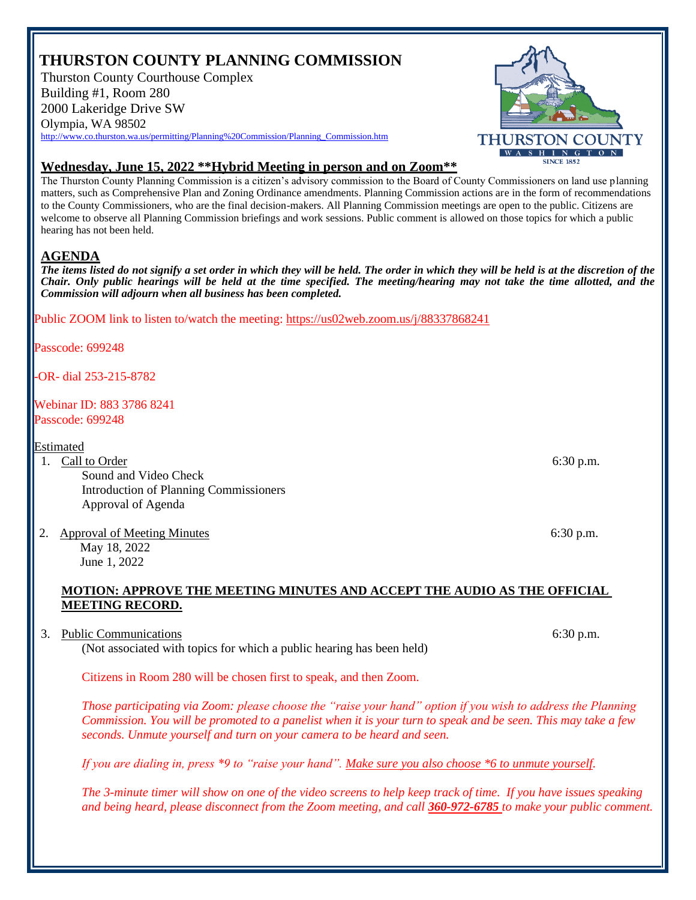## **THURSTON COUNTY PLANNING COMMISSION**

Thurston County Courthouse Complex Building #1, Room 280 2000 Lakeridge Drive SW Olympia, WA 98502 [http://www.co.thurston.wa.us/permitting/Planning%20Commission/Planning\\_Commission.htm](http://www.co.thurston.wa.us/permitting/Planning%20Commission/Planning_Commission.htm)



## **Wednesday, June 15, 2022 \*\*Hybrid Meeting in person and on Zoom\*\***

The Thurston County Planning Commission is a citizen's advisory commission to the Board of County Commissioners on land use planning matters, such as Comprehensive Plan and Zoning Ordinance amendments. Planning Commission actions are in the form of recommendations to the County Commissioners, who are the final decision-makers. All Planning Commission meetings are open to the public. Citizens are welcome to observe all Planning Commission briefings and work sessions. Public comment is allowed on those topics for which a public hearing has not been held.

## **AGENDA**

*The items listed do not signify a set order in which they will be held. The order in which they will be held is at the discretion of the Chair. Only public hearings will be held at the time specified. The meeting/hearing may not take the time allotted, and the Commission will adjourn when all business has been completed.*

Public ZOOM link to listen to/watch the meeting: <https://us02web.zoom.us/j/88337868241>

Passcode: 699248

-OR- dial 253-215-8782

Webinar ID: 883 3786 8241 Passcode: 699248

Estimated

1. Call to Order 6:30 p.m.

Sound and Video Check Introduction of Planning Commissioners Approval of Agenda

2. Approval of Meeting Minutes 6:30 p.m.

May 18, 2022 June 1, 2022

## **MOTION: APPROVE THE MEETING MINUTES AND ACCEPT THE AUDIO AS THE OFFICIAL MEETING RECORD.**

3. Public Communications 6:30 p.m. (Not associated with topics for which a public hearing has been held)

Citizens in Room 280 will be chosen first to speak, and then Zoom.

*Those participating via Zoom: please choose the "raise your hand" option if you wish to address the Planning Commission. You will be promoted to a panelist when it is your turn to speak and be seen. This may take a few seconds. Unmute yourself and turn on your camera to be heard and seen.* 

*If you are dialing in, press \*9 to "raise your hand". Make sure you also choose \*6 to unmute yourself.* 

*The 3-minute timer will show on one of the video screens to help keep track of time. If you have issues speaking and being heard, please disconnect from the Zoom meeting, and call 360-972-6785 to make your public comment.*